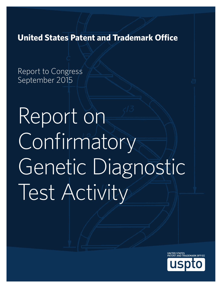**United States Patent and Trademark Office**

Report to Congress September 2015

Report on **Confirmatory** Genetic Diagnostic Test Activity

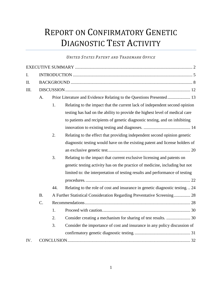# REPORT ON CONFIRMATORY GENETIC DIAGNOSTIC TEST ACTIVITY

# *UNITED STATES PATENT AND TRADEMARK OFFICE*

| $\mathbf{I}$ . |                                                                                                     |     |                                                                              |
|----------------|-----------------------------------------------------------------------------------------------------|-----|------------------------------------------------------------------------------|
| II.            |                                                                                                     |     |                                                                              |
| Ш.             |                                                                                                     |     |                                                                              |
|                | Prior Literature and Evidence Relating to the Questions Presented 13<br>A <sub>1</sub>              |     |                                                                              |
|                |                                                                                                     | 1.  | Relating to the impact that the current lack of independent second opinion   |
|                |                                                                                                     |     | testing has had on the ability to provide the highest level of medical care  |
|                |                                                                                                     |     | to patients and recipients of genetic diagnostic testing, and on inhibiting  |
|                |                                                                                                     |     |                                                                              |
|                |                                                                                                     | 2.  | Relating to the effect that providing independent second opinion genetic     |
|                |                                                                                                     |     | diagnostic testing would have on the existing patent and license holders of  |
|                |                                                                                                     |     |                                                                              |
|                |                                                                                                     | 3.  | Relating to the impact that current exclusive licensing and patents on       |
|                |                                                                                                     |     | genetic testing activity has on the practice of medicine, including but not  |
|                |                                                                                                     |     | limited to: the interpretation of testing results and performance of testing |
|                |                                                                                                     |     |                                                                              |
|                |                                                                                                     | 44. | Relating to the role of cost and insurance in genetic diagnostic testing24   |
|                | <b>B.</b><br>A Further Statistical Consideration Regarding Preventative Screening 28<br>$C_{\cdot}$ |     |                                                                              |
|                |                                                                                                     |     |                                                                              |
|                |                                                                                                     | 1.  |                                                                              |
|                |                                                                                                     | 2.  |                                                                              |
|                |                                                                                                     | 3.  | Consider the importance of cost and insurance in any policy discussion of    |
|                |                                                                                                     |     |                                                                              |
| IV.            |                                                                                                     |     |                                                                              |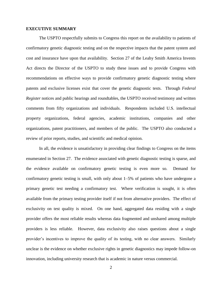#### <span id="page-2-0"></span>**EXECUTIVE SUMMARY**

The USPTO respectfully submits to Congress this report on the availability to patients of confirmatory genetic diagnostic testing and on the respective impacts that the patent system and cost and insurance have upon that availability. Section 27 of the Leahy Smith America Invents Act directs the Director of the USPTO to study these issues and to provide Congress with recommendations on effective ways to provide confirmatory genetic diagnostic testing where patents and exclusive licenses exist that cover the genetic diagnostic tests. Through *Federal Register* notices and public hearings and roundtables, the USPTO received testimony and written comments from fifty organizations and individuals. Respondents included U.S. intellectual property organizations, federal agencies, academic institutions, companies and other organizations, patent practitioners, and members of the public. The USPTO also conducted a review of prior reports, studies, and scientific and medical opinion.

In all, the evidence is unsatisfactory in providing clear findings to Congress on the items enumerated in Section 27. The evidence associated with genetic diagnostic testing is sparse, and the evidence available on confirmatory genetic testing is even more so. Demand for confirmatory genetic testing is small, with only about 1–5% of patients who have undergone a primary genetic test needing a confirmatory test. Where verification is sought, it is often available from the primary testing provider itself if not from alternative providers. The effect of exclusivity on test quality is mixed. On one hand, aggregated data residing with a single provider offers the most reliable results whereas data fragmented and unshared among multiple providers is less reliable. However, data exclusivity also raises questions about a single provider's incentives to improve the quality of its testing, with no clear answers. Similarly unclear is the evidence on whether exclusive rights in genetic diagnostics may impede follow-on innovation, including university research that is academic in nature versus commercial.

2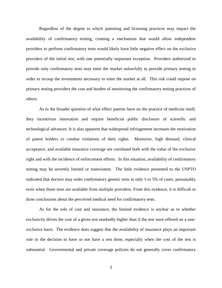Regardless of the degree to which patenting and licensing practices may impact the availability of confirmatory testing, creating a mechanism that would allow independent providers to perform confirmatory tests would likely have little negative effect on the exclusive providers of the initial test, with one potentially important exception. Providers authorized to provide only confirmatory tests may enter the market unlawfully to provide primary testing in order to recoup the investments necessary to enter the market at all. This risk could impose on primary testing providers the cost and burden of monitoring the confirmatory testing practices of others.

As to the broader question of what effect patents have on the practice of medicine itself, they incentivize innovation and require beneficial public disclosure of scientific and technological advances. It is also apparent that widespread infringement increases the motivation of patent holders to combat violations of their rights. Moreover, high demand, clinical acceptance, and available insurance coverage are correlated both with the value of the exclusive right and with the incidence of enforcement efforts. In this situation, availability of confirmatory testing may be severely limited or nonexistent. The little evidence presented to the USPTO indicated that doctors may order confirmatory genetic tests in only 1 to 5% of cases, presumably even when those tests are available from multiple providers. From this evidence, it is difficult to draw conclusions about the perceived medical need for confirmatory tests.

As for the role of cost and insurance, the limited evidence is unclear as to whether exclusivity drives the cost of a given test markedly higher than if the test were offered on a nonexclusive basis. The evidence does suggest that the availability of insurance plays an important role in the decision to have or not have a test done, especially when the cost of the test is substantial. Governmental and private coverage policies do not generally cover confirmatory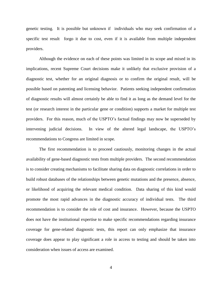genetic testing. It is possible but unknown if individuals who may seek confirmation of a specific test result forgo it due to cost, even if it is available from multiple independent providers.

Although the evidence on each of these points was limited in its scope and mixed in its implications, recent Supreme Court decisions make it unlikely that exclusive provision of a diagnostic test, whether for an original diagnosis or to confirm the original result, will be possible based on patenting and licensing behavior. Patients seeking independent confirmation of diagnostic results will almost certainly be able to find it as long as the demand level for the test (or research interest in the particular gene or condition) supports a market for multiple test providers. For this reason, much of the USPTO's factual findings may now be superseded by intervening judicial decisions. In view of the altered legal landscape, the USPTO's recommendations to Congress are limited in scope.

The first recommendation is to proceed cautiously, monitoring changes in the actual availability of gene-based diagnostic tests from multiple providers. The second recommendation is to consider creating mechanisms to facilitate sharing data on diagnostic correlations in order to build robust databases of the relationships between genetic mutations and the presence, absence, or likelihood of acquiring the relevant medical condition. Data sharing of this kind would promote the most rapid advances in the diagnostic accuracy of individual tests. The third recommendation is to consider the role of cost and insurance. However, because the USPTO does not have the institutional expertise to make specific recommendations regarding insurance coverage for gene-related diagnostic tests, this report can only emphasize that insurance coverage does appear to play significant a role in access to testing and should be taken into consideration when issues of access are examined.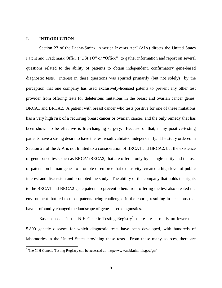## <span id="page-5-0"></span>**I. INTRODUCTION**

 $\overline{a}$ 

Section 27 of the Leahy-Smith "America Invents Act" (AIA) directs the United States Patent and Trademark Office ("USPTO" or "Office") to gather information and report on several questions related to the ability of patients to obtain independent, confirmatory gene-based diagnostic tests. Interest in these questions was spurred primarily (but not solely) by the perception that one company has used exclusively-licensed patents to prevent any other test provider from offering tests for deleterious mutations in the breast and ovarian cancer genes, BRCA1 and BRCA2. A patient with breast cancer who tests positive for one of these mutations has a very high risk of a recurring breast cancer or ovarian cancer, and the only remedy that has been shown to be effective is life-changing surgery. Because of that, many positive-testing patients have a strong desire to have the test result validated independently. The study ordered in Section 27 of the AIA is not limited to a consideration of BRCA1 and BRCA2, but the existence of gene-based tests such as BRCA1/BRCA2, that are offered only by a single entity and the use of patents on human genes to promote or enforce that exclusivity, created a high level of public interest and discussion and prompted the study. The ability of the company that holds the rights to the BRCA1 and BRCA2 gene patents to prevent others from offering the test also created the environment that led to those patents being challenged in the courts, resulting in decisions that have profoundly changed the landscape of gene-based diagnostics.

Based on data in the NIH Genetic Testing Registry<sup>1</sup>, there are currently no fewer than 5,800 genetic diseases for which diagnostic tests have been developed, with hundreds of laboratories in the United States providing these tests. From these many sources, there are

<sup>&</sup>lt;sup>1</sup> The NIH Genetic Testing Registry can be accessed at: http://www.ncbi.nlm.nih.gov/gtr/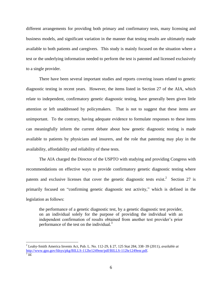different arrangements for providing both primary and confirmatory tests, many licensing and business models, and significant variation in the manner that testing results are ultimately made available to both patients and caregivers. This study is mainly focused on the situation where a test or the underlying information needed to perform the test is patented and licensed exclusively to a single provider.

There have been several important studies and reports covering issues related to genetic diagnostic testing in recent years. However, the items listed in Section 27 of the AIA, which relate to independent, confirmatory genetic diagnostic testing, have generally been given little attention or left unaddressed by policymakers. That is not to suggest that these items are unimportant. To the contrary, having adequate evidence to formulate responses to these items can meaningfully inform the current debate about how genetic diagnostic testing is made available to patients by physicians and insurers, and the role that patenting may play in the availability, affordability and reliability of these tests.

The AIA charged the Director of the USPTO with studying and providing Congress with recommendations on effective ways to provide confirmatory genetic diagnostic testing where patents and exclusive licenses that cover the genetic diagnostic tests exist.<sup>2</sup> Section 27 is primarily focused on "confirming genetic diagnostic test activity," which is defined in the legislation as follows:

the performance of a genetic diagnostic test, by a genetic diagnostic test provider, on an individual solely for the purpose of providing the individual with an independent confirmation of results obtained from another test provider's prior performance of the test on the individual. $3$ 

<sup>2</sup> Leahy-Smith America Invents Act, Pub. L. No. 112-29, § 27, 125 Stat 284, 338–39 (2011), *available at* [http://www.gpo.gov/fdsys/pkg/BILLS-112hr1249enr/pdf/BILLS-112hr1249enr.pdf.](http://www.gpo.gov/fdsys/pkg/BILLS-112hr1249enr/pdf/BILLS-112hr1249enr.pdf)

 $\overline{\hbox{3}}$  *Id.*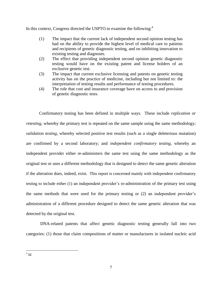In this context, Congress directed the USPTO to examine the following: $4\overline{ }$ 

- (1) The impact that the current lack of independent second opinion testing has had on the ability to provide the highest level of medical care to patients and recipients of genetic diagnostic testing, and on inhibiting innovation to existing testing and diagnoses.
- (2) The effect that providing independent second opinion genetic diagnostic testing would have on the existing patent and license holders of an exclusive genetic test.
- (3) The impact that current exclusive licensing and patents on genetic testing activity has on the practice of medicine, including but not limited to: the interpretation of testing results and performance of testing procedures.
- (4) The role that cost and insurance coverage have on access to and provision of genetic diagnostic tests.

Confirmatory testing has been defined in multiple ways. These include *replication or retesting*, whereby the primary test is repeated on the same sample using the same methodology; *validation testing*, whereby selected positive test results (such as a single deleterious mutation) are confirmed by a second laboratory; and *independent confirmatory testing*, whereby an independent provider either re-administers the same test using the same methodology as the original test or uses a different methodology that is designed to detect the same genetic alteration if the alteration does, indeed, exist. This report is concerned mainly with independent confirmatory testing to include either (1) an independent provider's re-administration of the primary test using the same methods that were used for the primary testing or (2) an independent provider's administration of a different procedure designed to detect the same genetic alteration that was detected by the original test.

DNA-related patents that affect genetic diagnostic testing generally fall into two categories: (1) those that claim compositions of matter or manufactures in isolated nucleic acid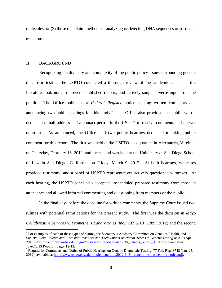molecules; or (2) those that claim methods of analyzing or detecting DNA sequences or particular mutations. 5

## <span id="page-8-0"></span>**II. BACKGROUND**

 $\overline{a}$ 

Recognizing the diversity and complexity of the public policy issues surrounding genetic diagnostic testing, the USPTO conducted a thorough review of the academic and scientific literature, took notice of several published reports, and actively sought diverse input from the public. The Office published a *Federal Register* notice seeking written comments and announcing two public hearings for this study. The Office also provided the public with a dedicated e-mail address and a contact person in the USPTO to receive comments and answer questions. As announced, the Office held two public hearings dedicated to taking public comment for this report. The first was held at the USPTO headquarters in Alexandria, Virginia, on Thursday, February 16, 2012, and the second was held at the University of San Diego School of Law in San Diego, California, on Friday, March 9, 2012. At both hearings, witnesses provided testimony, and a panel of USPTO representatives actively questioned witnesses. At each hearing, the USPTO panel also accepted unscheduled prepared testimony from those in attendance and allowed informal commenting and questioning from members of the public.

In the final days before the deadline for written comments, the Supreme Court issued two rulings with potential ramifications for the present study. The first was the decision in *Mayo Collaborative Services v. Prometheus Laboratories, Inc.*, 132 S. Ct. 1289 (2012) and the second

<sup>&</sup>lt;sup>5</sup> For examples of each of these types of claims, see Secretary's Advisory Committee on Genetics, Health, and Society, *Gene Patents and Licensing Practices and Their Impact on Patent Access to Genetic Testing* at A-8 (Apr. 2010), *available at* [http://oba.od.nih.gov/oba/sacghs/reports/SACGHS\\_patents\\_report\\_2010.pdf](http://oba.od.nih.gov/oba/sacghs/reports/SACGHS_patents_report_2010.pdf) [hereinafter "SACGHS Report"] pages 12-13.

<sup>&</sup>lt;sup>6</sup> Request for Comments and Notice of Public Hearings on Genetic Diagnostic Testing, 77 Fed. Reg. 3748 (Jan. 25, 2012), available a[t http://www.uspto.gov/aia\\_implementation/2012-1481\\_genetic-testing-hearing-notice.pdf.](http://www.uspto.gov/aia_implementation/2012-1481_genetic-testing-hearing-notice.pdf)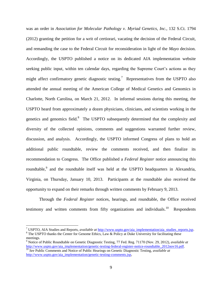was an order in *Association for Molecular Pathology v. Myriad Genetics, Inc.*, 132 S.Ct. 1794 (2012) granting the petition for a writ of certiorari, vacating the decision of the Federal Circuit, and remanding the case to the Federal Circuit for reconsideration in light of the *Mayo* decision. Accordingly, the USPTO published a notice on its dedicated AIA implementation website seeking public input, within ten calendar days, regarding the Supreme Court's actions as they might affect confirmatory genetic diagnostic testing.<sup>7</sup> Representatives from the USPTO also attended the annual meeting of the American College of Medical Genetics and Genomics in Charlotte, North Carolina, on March 21, 2012. In informal sessions during this meeting, the USPTO heard from approximately a dozen physicians, clinicians, and scientists working in the genetics and genomics field.<sup>8</sup> The USPTO subsequently determined that the complexity and diversity of the collected opinions, comments and suggestions warranted further review, discussion, and analysis. Accordingly, the USPTO informed Congress of plans to hold an additional public roundtable, review the comments received, and then finalize its recommendation to Congress. The Office published a *Federal Register* notice announcing this roundtable,<sup>9</sup> and the roundtable itself was held at the USPTO headquarters in Alexandria, Virginia, on Thursday, January 10, 2013. Participants at the roundtable also received the opportunity to expand on their remarks through written comments by February 9, 2013.

Through the *Federal Register* notices, hearings, and roundtable, the Office received testimony and written comments from fifty organizations and individuals.<sup>10</sup> Respondents

<sup>7</sup> USPTO, AIA Studies and Reports, *available at* [http://www.uspto.gov/aia\\_implementation/aia\\_studies\\_reports.jsp.](http://www.uspto.gov/aia_implementation/aia_studies_reports.jsp) <sup>8</sup> The USPTO thanks the Center for Genome Ethics, Law & Policy at Duke University for facilitating these

meetings.

<sup>9</sup> Notice of Public Roundtable on Genetic Diagnostic Testing, 77 Fed. Reg. 71170 (Nov. 29, 2012), *available at* [http://www.uspto.gov/aia\\_implementation/genetic-testing-federal-register-notice-roundtable\\_2012nov16.pdf.](http://www.uspto.gov/aia_implementation/genetic-testing-federal-register-notice-roundtable_2012nov16.pdf) <sup>10</sup> *See* Public Comments and Notice of Public Hearings on Genetic Diagnostic Testing, *available at* [http://www.uspto.gov/aia\\_implementation/genetic-testing-comments.jsp,](http://www.uspto.gov/aia_implementation/genetic-testing-comments.jsp)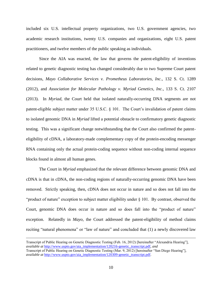included six U.S. intellectual property organizations, two U.S. government agencies, two academic research institutions, twenty U.S. companies and organizations, eight U.S. patent practitioners, and twelve members of the public speaking as individuals.

Since the AIA was enacted, the law that governs the patent-eligibility of inventions related to genetic diagnostic testing has changed considerably due to two Supreme Court patent decisions, *Mayo Collaborative Services v. Prometheus Laboratories, Inc.*, 132 S. Ct. 1289 (2012), and *Association for Molecular Pathology v. Myriad Genetics, Inc.*, 133 S. Ct. 2107 (2013). In *Myriad,* the Court held that isolated naturally-occurring DNA segments are not patent-eligible subject matter under 35 U.S.C. § 101. The Court's invalidation of patent claims to isolated genomic DNA in *Myriad* lifted a potential obstacle to confirmatory genetic diagnostic testing. This was a significant change notwithstanding that the Court also confirmed the patenteligibility of cDNA, a laboratory-made complementary copy of the protein-encoding messenger RNA containing only the actual protein-coding sequence without non-coding internal sequence blocks found in almost all human genes.

The Court in *Myriad* emphasized that the relevant difference between genomic DNA and cDNA is that in cDNA, the non-coding regions of naturally-occurring genomic DNA have been removed. Strictly speaking, then, cDNA does not occur in nature and so does not fall into the "product of nature" exception to subject matter eligibility under § 101. By contrast, observed the Court, genomic DNA does occur in nature and so does fall into the "product of nature" exception. Relatedly in *Mayo*, the Court addressed the patent-eligibility of method claims reciting "natural phenomena" or "law of nature" and concluded that (1) a newly discovered law

Transcript of Public Hearing on Genetic Diagnostic Testing (Feb. 16, 2012) [hereinafter "Alexandria Hearing"], *available at* [http://www.uspto.gov/aia\\_implementation/120216-genetic\\_transcript.pdf,](http://www.uspto.gov/aia_implementation/120216-genetic_transcript.pdf) *and* Transcript of Public Hearing on Genetic Diagnostic Testing (Mar. 9, 2012) [hereinafter "San Diego Hearing"], *available at* [http://www.uspto.gov/aia\\_implementation/120309-genetic\\_transcript.pdf.](http://www.uspto.gov/aia_implementation/120309-genetic_transcript.pdf)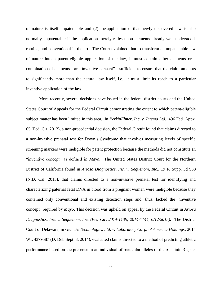of nature is itself unpatentable and (2) the application of that newly discovered law is also normally unpatentable if the application merely relies upon elements already well understood, routine, and conventional in the art. The Court explained that to transform an unpatentable law of nature into a patent-eligible application of the law, it must contain other elements or a combination of elements—an "inventive concept"—sufficient to ensure that the claim amounts to significantly more than the natural law itself, i.e., it must limit its reach to a particular inventive application of the law.

More recently, several decisions have issued in the federal district courts and the United States Court of Appeals for the Federal Circuit demonstrating the extent to which patent-eligible subject matter has been limited in this area. In *PerkinElmer, Inc. v. Intema Ltd.*, 496 Fed. Appx. 65 (Fed. Cir. 2012), a non-precedential decision, the Federal Circuit found that claims directed to a non-invasive prenatal test for Down's Syndrome that involves measuring levels of specific screening markers were ineligible for patent protection because the methods did not constitute an "inventive concept" as defined in *Mayo*. The United States District Court for the Northern District of California found in *Ariosa Diagnostics, Inc. v. Sequenom, Inc.*, 19 F. Supp. 3d 938 (N.D. Cal. 2013), that claims directed to a non-invasive prenatal test for identifying and characterizing paternal fetal DNA in blood from a pregnant woman were ineligible because they contained only conventional and existing detection steps and, thus, lacked the "inventive concept" required by *Mayo*. This decision was upheld on appeal by the Federal Circuit in *Ariosa Diagnostics, Inc. v. Sequenom, Inc. (Fed Cir, 2014-1139, 2014-1144, 6/12/2015).* The District Court of Delaware, in *Genetic Technologies Ltd. v. Laboratory Corp. of America Holdings*, 2014 WL 4379587 (D. Del. Sept. 3, 2014), evaluated claims directed to a method of predicting athletic performance based on the presence in an individual of particular alleles of the α-actinin-3 gene.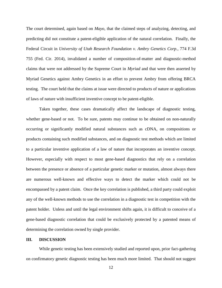The court determined, again based on *Mayo*, that the claimed steps of analyzing, detecting, and predicting did not constitute a patent-eligible application of the natural correlation. Finally, the Federal Circuit in *University of Utah Research Foundation v. Ambry Genetics Corp.*, 774 F.3d 755 (Fed. Cir. 2014), invalidated a number of composition-of-matter and diagnostic-method claims that were not addressed by the Supreme Court in *Myriad* and that were then asserted by Myriad Genetics against Ambry Genetics in an effort to prevent Ambry from offering BRCA testing. The court held that the claims at issue were directed to products of nature or applications of laws of nature with insufficient inventive concept to be patent-eligible.

Taken together, these cases dramatically affect the landscape of diagnostic testing, whether gene-based or not. To be sure, patents may continue to be obtained on non-naturally occurring or significantly modified natural substances such as cDNA, on compositions or products containing such modified substances, and on diagnostic test methods which are limited to a particular inventive application of a law of nature that incorporates an inventive concept. However, especially with respect to most gene-based diagnostics that rely on a correlation between the presence or absence of a particular genetic marker or mutation, almost always there are numerous well-known and effective ways to detect the marker which could not be encompassed by a patent claim. Once the key correlation is published, a third party could exploit any of the well-known methods to use the correlation in a diagnostic test in competition with the patent holder. Unless and until the legal environment shifts again, it is difficult to conceive of a gene-based diagnostic correlation that could be exclusively protected by a patented means of determining the correlation owned by single provider.

#### <span id="page-12-0"></span>**III. DISCUSSION**

While genetic testing has been extensively studied and reported upon, prior fact-gathering on confirmatory genetic diagnostic testing has been much more limited. That should not suggest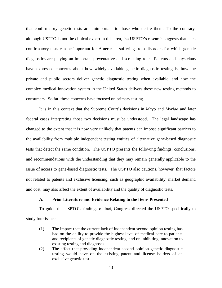that confirmatory genetic tests are unimportant to those who desire them. To the contrary, although USPTO is not the clinical expert in this area, the USPTO's research suggests that such confirmatory tests can be important for Americans suffering from disorders for which genetic diagnostics are playing an important preventative and screening role. Patients and physicians have expressed concerns about how widely available genetic diagnostic testing is, how the private and public sectors deliver genetic diagnostic testing when available, and how the complex medical innovation system in the United States delivers these new testing methods to consumers. So far, these concerns have focused on primary testing.

It is in this context that the Supreme Court's decisions in *Mayo* and *Myriad* and later federal cases interpreting those two decisions must be understood. The legal landscape has changed to the extent that it is now very unlikely that patents can impose significant barriers to the availability from multiple independent testing entities of alternative gene-based diagnostic tests that detect the same condition. The USPTO presents the following findings, conclusions, and recommendations with the understanding that they may remain generally applicable to the issue of access to gene-based diagnostic tests. The USPTO also cautions, however, that factors not related to patents and exclusive licensing, such as geographic availability, market demand and cost, may also affect the extent of availability and the quality of diagnostic tests.

#### **A. Prior Literature and Evidence Relating to the Items Presented**

<span id="page-13-0"></span>To guide the USPTO's findings of fact, Congress directed the USPTO specifically to study four issues:

- (1) The impact that the current lack of independent second opinion testing has had on the ability to provide the highest level of medical care to patients and recipients of genetic diagnostic testing, and on inhibiting innovation to existing testing and diagnoses.
- (2) The effect that providing independent second opinion genetic diagnostic testing would have on the existing patent and license holders of an exclusive genetic test.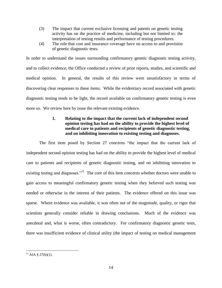- (3) The impact that current exclusive licensing and patents on genetic testing activity has on the practice of medicine, including but not limited to: the interpretation of testing results and performance of testing procedures.
- (4) The role that cost and insurance coverage have on access to and provision of genetic diagnostic tests.

In order to understand the issues surrounding confirmatory genetic diagnostic testing activity, and to collect evidence, the Office conducted a review of prior reports, studies, and scientific and medical opinion. In general, the results of this review were unsatisfactory in terms of discovering clear responses to these items. While the evidentiary record associated with genetic diagnostic testing tends to be light, the record available on confirmatory genetic testing is even more so. We review here by issue the relevant existing evidence.

# **1. Relating to the impact that the current lack of independent second opinion testing has had on the ability to provide the highest level of medical care to patients and recipients of genetic diagnostic testing, and on inhibiting innovation to existing testing and diagnoses.**

<span id="page-14-0"></span>The first item posed by Section 27 concerns "the impact that the current lack of independent second opinion testing has had on the ability to provide the highest level of medical care to patients and recipients of genetic diagnostic testing, and on inhibiting innovation to existing testing and diagnoses."<sup>11</sup> The core of this item concerns whether doctors were unable to gain access to meaningful confirmatory genetic testing when they believed such testing was needed or otherwise in the interest of their patients. The evidence offered on this issue was sparse. Where evidence was available, it was often not of the magnitude, quality, or rigor that scientists generally consider reliable in drawing conclusions. Much of the evidence was anecdotal and, what is worse, often contradictory. For confirmatory diagnostic genetic tests, there was insufficient evidence of clinical utility (the impact of testing on medical management

 $\overline{a}$  $^{11}$  AIA § 27(b)(1).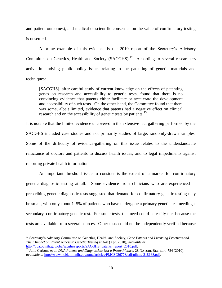and patient outcomes), and medical or scientific consensus on the value of confirmatory testing is unsettled.

A prime example of this evidence is the 2010 report of the Secretary's Advisory Committee on Genetics, Health and Society  $(SACGHS).<sup>12</sup>$  According to several researchers active in studying public policy issues relating to the patenting of genetic materials and techniques:

[SACGHS], after careful study of current knowledge on the effects of patenting genes on research and accessibility to genetic tests, found that there is no convincing evidence that patents either facilitate or accelerate the development and accessibility of such tests. On the other hand, the Committee found that there was some, albeit limited, evidence that patents had a negative effect on clinical research and on the accessibility of genetic tests by patients.<sup>13</sup>

It is notable that the limited evidence uncovered in the extensive fact gathering performed by the SACGHS included case studies and not primarily studies of large, randomly-drawn samples. Some of the difficulty of evidence-gathering on this issue relates to the understandable reluctance of doctors and patients to discuss health issues, and to legal impediments against reporting private health information.

An important threshold issue to consider is the extent of a market for confirmatory genetic diagnostic testing at all. Some evidence from clinicians who are experienced in prescribing genetic diagnostic tests suggested that demand for confirmatory genetic testing may be small, with only about 1–5% of patients who have undergone a primary genetic test needing a secondary, confirmatory genetic test. For some tests, this need could be easily met because the tests are available from several sources. Other tests could not be independently verified because

<sup>12</sup> Secretary's Advisory Committee on Genetics, Health, and Society, *Gene Patents and Licensing Practices and Their Impact on Patent Access to Genetic Testing* at A-8 (Apr. 2010), *available at* [http://oba.od.nih.gov/oba/sacghs/reports/SACGHS\\_patents\\_report\\_2010.pdf.](http://oba.od.nih.gov/oba/sacghs/reports/SACGHS_patents_report_2010.pdf)

<sup>&</sup>lt;sup>13</sup> Julia Carbone et al, *DNA Patents and Diagnostics: Not a Pretty Picture*, 28 NATURE BIOTECH. 784 (2010), *available at* [http://www.ncbi.nlm.nih.gov/pmc/articles/PMC3026778/pdf/nihms-218168.pdf.](http://www.ncbi.nlm.nih.gov/pmc/articles/PMC3026778/pdf/nihms-218168.pdf)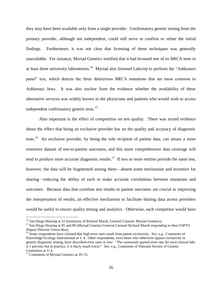they may have been available only from a single provider. Confirmatory genetic testing from the primary provider, although not independent, could still serve to confirm or refute the initial findings. Furthermore, it was not clear that licensing of these techniques was generally unavailable. For instance, Myriad Genetics testified that it had licensed one of its BRCA tests to at least three university laboratories.<sup>14</sup> Myriad also licensed Labcorp to perform the "Ashkenazi panel" test, which detects the three deleterious BRCA mutations that are most common to Ashkenazi Jews. It was also unclear from the evidence whether the availability of these alternative services was widely known to the physicians and patients who would wish to access independent confirmatory genetic tests.<sup>15</sup>

Also important is the effect of competition on test quality. There was mixed evidence about the effect that being an exclusive provider has on the quality and accuracy of diagnostic tests.<sup>16</sup> An exclusive provider, by being the sole recipient of patient data, can amass a more extensive dataset of test-to-patient outcomes, and this more comprehensive data coverage will tend to produce more accurate diagnostic results.<sup>17</sup> If two or more entities provide the same test, however, the data will be fragmented among them—absent some mechanism and incentive for sharing—reducing the ability of each to make accurate correlations between mutations and outcomes. Because data that correlate test results to patient outcomes are crucial to improving the interpretation of results, an effective mechanism to facilitate sharing data across providers would be useful to ensure quality testing and analytics. Otherwise, each competitor would have

 $14$  San Diego Hearing at 52 (testimony of Richard Marsh, General Counsel, Myriad Genetics).

<sup>&</sup>lt;sup>15</sup> San Diego Hearing at 85 and 89 (Myriad Genetics General Counsel Richard Marsh responding to then USPTO Deputy Director Teresa Rea).

<sup>16</sup> Some respondents have claimed that high error rates result from patent exclusivity. *See*, *e.g.*, Comments of Knowledge Ecology International at 3–4. Other respondents, even those who otherwise oppose exclusivity in genetic diagnostic testing, have described error rates as low: "The commonly quoted error rate for most clinical labs is 1 percent, but in practice, it is likely much lower." *See*, *e.g.*, Comments of National Society of Genetic Counselors at 3–4.

<sup>&</sup>lt;sup>17</sup> Comments of Myriad Genetics at 20–21.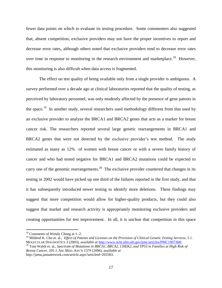fewer data points on which to evaluate its testing procedure. Some commenters also suggested that, absent competition, exclusive providers may not have the proper incentives to report and decrease error rates, although others noted that exclusive providers tend to decrease error rates over time in response to monitoring in the research environment and marketplace.<sup>18</sup> However, this monitoring is also difficult when data access is fragmented.

The effect on test quality of being available only from a single provider is ambiguous. A survey performed over a decade ago at clinical laboratories reported that the quality of testing, as perceived by laboratory personnel, was only modestly affected by the presence of gene patents in the space.<sup>19</sup> In another study, several researchers used methodology different from that used by an exclusive provider to analyze the BRCA1 and BRCA2 genes that acts as a marker for breast cancer risk. The researchers reported several large genetic rearrangements in BRCA1 and BRCA2 genes that were not detected by the exclusive provider's test method. The study estimated as many as 12% of women with breast cancer or with a severe family history of cancer and who had tested negative for BRCA1 and BRCA2 mutations could be expected to carry one of the genomic rearrangements.<sup>20</sup> The exclusive provider countered that changes in its testing in 2002 would have picked up one third of the failures reported in the first study, and that it has subsequently introduced newer testing to identify more deletions. These findings may suggest that more competition would allow for higher-quality products, but they could also suggest that market and research activity is appropriately monitoring exclusive providers and creating opportunities for test improvement. In all, it is unclear that competition in this space

 $18$  Comments of Wendy Chung at 1–2.

<sup>19</sup> Mildred K. Cho et. al., *Effect of Patents and Licenses on the Provision of Clinical Genetic Testing Services*, 5 J. MOLECULAR DIAGNOSTICS 3 (2003), *available at* [http://www.ncbi.nlm.nih.gov/pmc/articles/PMC1907368/.](http://www.ncbi.nlm.nih.gov/pmc/articles/PMC1907368/)

<sup>&</sup>lt;sup>20</sup> Tom Walsh et. al., *Spectrum of Mutations in BRCA1, BRCA2, CHEK2, and TP53 in Families at High Risk of Breast Cancer*, 295 J. AM. MED. ASS'N 1379 (2006), *available at* http://jama.jamanetwork.com/article.aspx?articleid=202583.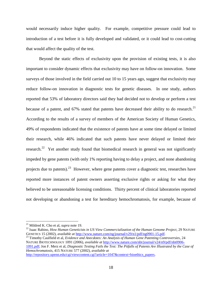would necessarily induce higher quality. For example, competitive pressure could lead to introduction of a test before it is fully developed and validated, or it could lead to cost-cutting that would affect the quality of the test.

Beyond the static effects of exclusivity upon the provision of existing tests, it is also important to consider dynamic effects that exclusivity may have on follow-on innovation. Some surveys of those involved in the field carried out 10 to 15 years ago, suggest that exclusivity may reduce follow-on innovation in diagnostic tests for genetic diseases. In one study, authors reported that 53% of laboratory directors said they had decided not to develop or perform a test because of a patent, and 67% stated that patents have decreased their ability to do research.<sup>21</sup> According to the results of a survey of members of the American Society of Human Genetics, 49% of respondents indicated that the existence of patents have at some time delayed or limited their research, while 46% indicated that such patents have never delayed or limited their research.<sup>22</sup> Yet another study found that biomedical research in general was not significantly impeded by gene patents (with only 1% reporting having to delay a project, and none abandoning projects due to patents).<sup>23</sup> However, where gene patents cover a diagnostic test, researches have reported more instances of patent owners asserting exclusive rights or asking for what they believed to be unreasonable licensing conditions. Thirty percent of clinical laboratories reported not developing or abandoning a test for hereditary hemochromatosis, for example, because of

 $\overline{a}$ 

<sup>23</sup> Timothy Caulfield et al, *Evidence and Anecdotes: An Analysis of Human Gene Patenting Controversies*, 24 NATURE BIOTECHNOLOGY 1091 (2006), *available at* [http://www.nature.com/nbt/journal/v24/n9/pdf/nbt0906-](http://www.nature.com/nbt/journal/v24/n9/pdf/nbt0906-1091.pdf) [1091.pdf;](http://www.nature.com/nbt/journal/v24/n9/pdf/nbt0906-1091.pdf) Jon F. Merz et al, *Diagnostic Testing Fails the Test: The Pitfalls of Patents Are Illustrated by the Case of Hemochromatosis*, 415 NATURE 577 (2002), *available at* [http://repository.upenn.edu/cgi/viewcontent.cgi?article=1047&context=bioethics\\_papers.](http://repository.upenn.edu/cgi/viewcontent.cgi?article=1047&context=bioethics_papers)

<sup>21</sup> Mildred K. Cho et al, *supra* note 19.

<sup>&</sup>lt;sup>22</sup> Isaac Rabino, *How Human Geneticists in US View Commercialization of the Human Genome Project*, 29 NATURE GENETICS 15 (2002), *available at* [http://www.nature.com/ng/journal/v29/n1/pdf/ng0901-15.pdf.](http://www.nature.com/ng/journal/v29/n1/pdf/ng0901-15.pdf)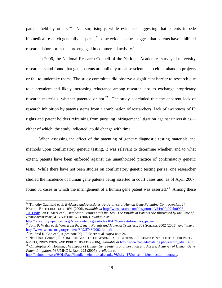patents held by others.<sup>24</sup> Not surprisingly, while evidence suggesting that patents impede biomedical research generally is sparse,  $25$  some evidence does suggest that patents have inhibited research laboratories that are engaged in commercial activity.<sup>26</sup>

In 2006, the National Research Council of the National Academies surveyed university researchers and found that gene patents are unlikely to cause scientists to either abandon projects or fail to undertake them. The study committee did observe a significant barrier to research due to a prevalent and likely increasing reluctance among research labs to exchange proprietary research materials, whether patented or not.<sup>27</sup> The study concluded that the apparent lack of research inhibition by patents stems from a combination of researchers' lack of awareness of IP rights and patent holders refraining from pursuing infringement litigation against universities either of which, the study indicated, could change with time.

When assessing the effect of the patenting of genetic diagnostic testing materials and methods upon confirmatory genetic testing, it was relevant to determine whether, and to what extent, patents have been enforced against the unauthorized practice of confirmatory genetic tests. While there have not been studies on confirmatory genetic testing per se, one researcher studied the incidence of human gene patents being asserted in court cases and, as of April 2007, found 31 cases in which the infringement of a human gene patent was asserted.<sup>28</sup> Among these

<sup>24</sup> Timothy Caulfield et al, *Evidence and Anecdotes: An Analysis of Human Gene Patenting Controversies*, 24 NATURE BIOTECHNOLOGY 1091 (2006), *available at* [http://www.nature.com/nbt/journal/v24/n9/pdf/nbt0906-](http://www.nature.com/nbt/journal/v24/n9/pdf/nbt0906-1091.pdf) [1091.pdf;](http://www.nature.com/nbt/journal/v24/n9/pdf/nbt0906-1091.pdf) Jon F. Merz et al, *Diagnostic Testing Fails the Test: The Pitfalls of Patents Are Illustrated by the Case of Hemochromatosis*, 415 NATURE 577 (2002), *available at*

[http://repository.upenn.edu/cgi/viewcontent.cgi?article=1047&context=bioethics\\_papers.](http://repository.upenn.edu/cgi/viewcontent.cgi?article=1047&context=bioethics_papers) <sup>25</sup> John P. Walsh et al, *View from the Bench: Patents and Material Transfers*, 309 SCIENCE 2002 (2005), *available at* [http://www.sciencemag.org/content/309/5743/2002.full.pdf.](http://www.sciencemag.org/content/309/5743/2002.full.pdf)

 $\overline{a}$ 

<sup>27</sup> Nat'l Res. Council, REAPING THE BENEFITS OF GENOMIC AND PROTEOMIC RESEARCH: INTELLECTUAL PROPERTY RIGHTS, INNOVATION, AND PUBLIC HEALTH (2006), *available at* [http://www.nap.edu/catalog.php?record\\_id=11487.](http://www.nap.edu/catalog.php?record_id=11487)

<sup>28</sup> Christopher M. Holman, *The Impact of Human Gene Patents on Innovation and Access: A Survey of Human Gene Patent Litigation*, 76 UMKC L. REV. 295 (2007), *available at*

[http://heinonline.org/HOL/Page?handle=hein.journals/umkc76&div=17&g\\_sent=1&collection=journals.](http://heinonline.org/HOL/Page?handle=hein.journals/umkc76&div=17&g_sent=1&collection=journals)

<sup>26</sup> Mildred K. Cho et al, *supra* note 20; J.F. Merz et al, *supra* note 24.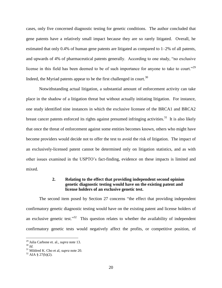cases, only five concerned diagnostic testing for genetic conditions. The author concluded that gene patents have a relatively small impact because they are so rarely litigated. Overall, he estimated that only 0.4% of human gene patents are litigated as compared to  $1-2\%$  of all patents, and upwards of 4% of pharmaceutical patents generally. According to one study, "no exclusive license in this field has been deemed to be of such importance for anyone to take to court."<sup>29</sup> Indeed, the Myriad patents appear to be the first challenged in court.<sup>30</sup>

Notwithstanding actual litigation, a substantial amount of enforcement activity can take place in the shadow of a litigation threat but without actually initiating litigation. For instance, one study identified nine instances in which the exclusive licensee of the BRCA1 and BRCA2 breast cancer patents enforced its rights against presumed infringing activities.<sup>31</sup> It is also likely that once the threat of enforcement against some entities becomes known, others who might have become providers would decide not to offer the test to avoid the risk of litigation. The impact of an exclusively-licensed patent cannot be determined only on litigation statistics, and as with other issues examined in the USPTO's fact-finding, evidence on these impacts is limited and mixed.

## **2. Relating to the effect that providing independent second opinion genetic diagnostic testing would have on the existing patent and license holders of an exclusive genetic test.**

<span id="page-20-0"></span>The second item posed by Section 27 concerns "the effect that providing independent confirmatory genetic diagnostic testing would have on the existing patent and license holders of an exclusive genetic test."<sup>32</sup> This question relates to whether the availability of independent confirmatory genetic tests would negatively affect the profits, or competitive position, of

<sup>29</sup> Julia Carbone et. al., *supra* note 13.

<sup>30</sup> *Id.*

<sup>31</sup> Mildred K. Cho et al, *supra* note 20.

 $32$  AIA § 27(b)(2).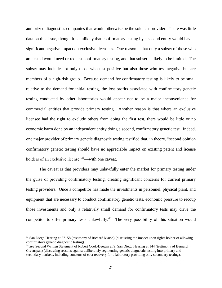authorized diagnostics companies that would otherwise be the sole test provider. There was little data on this issue, though it is unlikely that confirmatory testing by a second entity would have a significant negative impact on exclusive licensees. One reason is that only a subset of those who are tested would need or request confirmatory testing, and that subset is likely to be limited. The subset may include not only those who test positive but also those who test negative but are members of a high-risk group. Because demand for confirmatory testing is likely to be small relative to the demand for initial testing, the lost profits associated with confirmatory genetic testing conducted by other laboratories would appear not to be a major inconvenience for commercial entities that provide primary testing. Another reason is that where an exclusive licensee had the right to exclude others from doing the first test, there would be little or no economic harm done by an independent entity doing a second, confirmatory genetic test. Indeed, one major provider of primary genetic diagnostic testing testified that, in theory, "second opinion confirmatory genetic testing should have no appreciable impact on existing patent and license holders of an exclusive license<sup>33</sup>—with one caveat.

The caveat is that providers may unlawfully enter the market for primary testing under the guise of providing confirmatory testing, creating significant concerns for current primary testing providers. Once a competitor has made the investments in personnel, physical plant, and equipment that are necessary to conduct confirmatory genetic tests, economic pressure to recoup those investments and only a relatively small demand for confirmatory tests may drive the competitor to offer primary tests unlawfully.<sup>34</sup> The very possibility of this situation would

 $33$  San Diego Hearing at 57–58 (testimony of Richard Marsh) (discussing the impact upon rights holder of allowing confirmatory genetic diagnostic testing).

<sup>34</sup> *See* Second Written Statement of Robert Cook-Deegan at 9; San Diego Hearing at 144 (testimony of Bernard Greenspan) (discussing reasons against deliberately segmenting genetic diagnostic testing into primary and secondary markets, including concerns of cost recovery for a laboratory providing only secondary testing).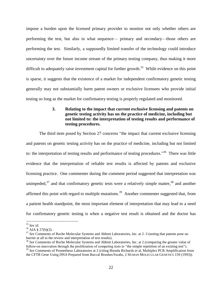impose a burden upon the licensed primary provider to monitor not only whether others are performing the test, but also in what sequence— primary and secondary—those others are performing the test. Similarly, a supposedly limited transfer of the technology could introduce uncertainty over the future income stream of the primary testing company, thus making it more difficult to adequately raise investment capital for further growth.<sup>35</sup> While evidence on this point is sparse, it suggests that the existence of a market for independent confirmatory genetic testing generally may not substantially harm patent owners or exclusive licensees who provide initial testing so long as the market for confirmatory testing is properly regulated and monitored.

# **3. Relating to the impact that current exclusive licensing and patents on genetic testing activity has on the practice of medicine, including but not limited to: the interpretation of testing results and performance of testing procedures.**

<span id="page-22-0"></span>The third item posed by Section 27 concerns "the impact that current exclusive licensing and patents on genetic testing activity has on the practice of medicine, including but not limited to: the interpretation of testing results and performance of testing procedures."<sup>36</sup> There was little evidence that the interpretation of reliable test results is affected by patents and exclusive licensing practice. One commenter during the comment period suggested that interpretation was unimpeded,<sup>37</sup> and that confirmatory genetic tests were a relatively simple matter,  $38$  and another affirmed this point with regard to multiple mutations.<sup>39</sup> Another commenter suggested that, from a patient health standpoint, the most important element of interpretation that may lead to a need for confirmatory genetic testing is when a negative test result is obtained and the doctor has

 $\overline{a}$ <sup>35</sup> *See id.*

 $36$  AIA § 27(b)(3).

<sup>37</sup> *See* Comments of Roche Molecular Systems and Abbott Laboratories, Inc. at 2–3 (noting that patents pose no barrier at all to the review and interpretation of test results).

<sup>38</sup> *See* Comments of Roche Molecular Systems and Abbott Laboratories, Inc. at 2 (comparing the greater value of follow-on innovation through the proliferation of competing tests to "the simple repetition of an existing test"). <sup>39</sup> *See* Comments of Prometheus Laboratories at 2 (citing Brenda Richards et al, Multiplex PCR Amplification from the CFTR Gene Using DNA Prepared from Buccal Brushes/Swabs, 2 HUMAN MOLECULAR GENETICS 159 (1993)).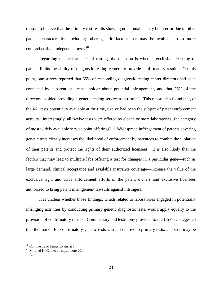reason to believe that the primary test results showing no anomalies may be in error due to other patient characteristics, including other genetic factors that may be available from more comprehensive, independent tests.<sup>40</sup>

Regarding the performance of testing, the question is whether exclusive licensing of patents limits the ability of diagnostic testing centers to provide confirmatory results. On this point, one survey reported that 65% of responding diagnostic testing center directors had been contacted by a patent or license holder about potential infringement, and that 25% of the directors avoided providing a genetic testing service as a result.<sup>41</sup> This report also found that, of the 461 tests potentially available at the time, twelve had been the subject of patent enforcement activity. Interestingly, all twelve tests were offered by eleven or more laboratories (the category of most widely available service point offerings).<sup>42</sup> Widespread infringement of patents covering genetic tests clearly increases the likelihood of enforcement by patentees to combat the violation of their patents and protect the rights of their authorized licensees. It is also likely that the factors that may lead to multiple labs offering a test for changes in a particular gene—such as large demand, clinical acceptance and available insurance coverage—increase the value of the exclusive right and drive enforcement efforts of the patent owners and exclusive licensees authorized to bring patent infringement lawsuits against infringers.

It is unclear whether those findings, which related to laboratories engaged in potentially infringing activities by conducting primary genetic diagnostic tests, would apply equally to the provision of confirmatory results. Commentary and testimony provided to the USPTO suggested that the market for confirmatory genetic tests is small relative to primary tests, and so it may be

<sup>40</sup> Comments of James Evans at 1.

<sup>41</sup> Mildred K. Cho et al, *supra* note 20.

<sup>42</sup> *Id.*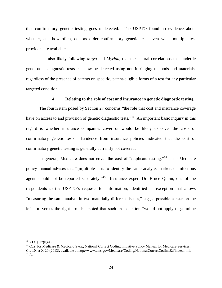that confirmatory genetic testing goes undetected. The USPTO found no evidence about whether, and how often, doctors order confirmatory genetic tests even when multiple test providers are available.

It is also likely following *Mayo* and *Myriad*, that the natural correlations that underlie gene-based diagnostic tests can now be detected using non-infringing methods and materials, regardless of the presence of patents on specific, patent-eligible forms of a test for any particular targeted condition.

## **4. Relating to the role of cost and insurance in genetic diagnostic testing.**

The fourth item posed by Section 27 concerns "the role that cost and insurance coverage have on access to and provision of genetic diagnostic tests.<sup>343</sup> An important basic inquiry in this regard is whether insurance companies cover or would be likely to cover the costs of confirmatory genetic tests. Evidence from insurance policies indicated that the cost of confirmatory genetic testing is generally currently not covered.

In general, Medicare does not cover the cost of "duplicate testing."<sup>44</sup> The Medicare policy manual advises that "[m]ultiple tests to identify the same analyte, marker, or infectious agent should not be reported separately."<sup>45</sup> Insurance expert Dr. Bruce Quinn, one of the respondents to the USPTO's requests for information, identified an exception that allows "measuring the same analyte in two materially different tissues," e.g., a possible cancer on the left arm versus the right arm, but noted that such an exception "would not apply to germline

 $43$  AIA § 27(b)(4).

<sup>&</sup>lt;sup>44</sup> Ctrs. for Medicare & Medicaid Svcs., National Correct Coding Initiative Policy Manual for Medicare Services, Ch. 10, at X-20 (2013), available at http://www.cms.gov/Medicare/Coding/NationalCorrectCodInitEd/index.html. <sup>45</sup> *Id.*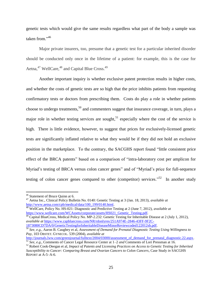genetic tests which would give the same results regardless what part of the body a sample was taken from." 46

Major private insurers, too, presume that a genetic test for a particular inherited disorder should be conducted only once in the lifetime of a patient: for example, this is the case for Aetna,<sup>47</sup> WellCare,<sup>48</sup> and Capital Blue Cross.<sup>49</sup>

Another important inquiry is whether exclusive patent protection results in higher costs, and whether the costs of genetic tests are so high that the price inhibits patients from requesting confirmatory tests or doctors from prescribing them. Costs do play a role in whether patients choose to undergo treatments,<sup>50</sup> and commenters suggest that insurance coverage, in turn, plays a major role in whether testing services are sought,<sup>51</sup> especially where the cost of the service is high. There is little evidence, however, to suggest that prices for exclusively-licensed genetic tests are significantly inflated relative to what they would be if they did not hold an exclusive position in the marketplace. To the contrary, the SACGHS report found "little consistent price effect of the BRCA patents" based on a comparison of "intra-laboratory cost per amplicon for Myriad's testing of BRCA versus colon cancer genes" and of "Myriad's price for full-sequence testing of colon cancer genes compared to other (competitor) services.<sup> $52$ </sup> In another study

<sup>&</sup>lt;sup>46</sup> Statement of Bruce Quinn at 6.

<sup>47</sup> Aetna Inc., Clinical Policy Bulletin No. 0140: Genetic Testing at 3 (Jan. 18, 2013), *available at* [http://www.aetna.com/cpb/medical/data/100\\_199/0140.html.](http://www.aetna.com/cpb/medical/data/100_199/0140.html)

<sup>48</sup> WellCare, Policy No. HS-021: Diagnostic and Predictive Testing at 2 (June 7, 2012), *available at* [https://www.wellcare.com/WCAssets/corporate/assets/HS021\\_Genetic\\_Testing.pdf.](https://www.wellcare.com/WCAssets/corporate/assets/HS021_Genetic_Testing.pdf)

<sup>&</sup>lt;sup>49</sup> Capital BlueCross, Medical Policy No. MP-2.232: Genetic Testing for Inheritable Disease at 2 (July 1, 2012), *available at* [https://www.capbluecross.com/NR/rdonlyres/251A974E-2846-43FF-9F2C-](https://www.capbluecross.com/NR/rdonlyres/251A974E-2846-43FF-9F2C-1873080CD7DA/0/GeneticTestingforInheritableDiseaseMinorReviewcoded122012sb.pdf)[1873080CD7DA/0/GeneticTestingforInheritableDiseaseMinorReviewcoded122012sb.pdf.](https://www.capbluecross.com/NR/rdonlyres/251A974E-2846-43FF-9F2C-1873080CD7DA/0/GeneticTestingforInheritableDiseaseMinorReviewcoded122012sb.pdf)

<sup>50</sup> *See*, *e.g.*, Aaron B. Caughey et al, *Assessment of Demand for Prenatal Diagnostic Testing Using Willingness to Pay*, 103 OBSTET. GYNECOL. 539 (2004), *available at*

[http://journals.lww.com/greenjournal/fulltext/2004/03000/assessment\\_of\\_demand\\_for\\_prenatal\\_diagnostic.22.aspx.](http://journals.lww.com/greenjournal/fulltext/2004/03000/assessment_of_demand_for_prenatal_diagnostic.22.aspx) <sup>51</sup> *See*, *e.g.*, Comments of Cancer Legal Resource Center at 1–2 *and* Comments of Lori Pressman at 16.

<sup>52</sup> Robert Cook-Deegan et al, *Impact of Patents and Licensing Practices on Access to Genetic Testing for Inherited Susceptibility to Cancer: Comparing Breast and Ovarian Cancers to Colon Cancers*, Case Study *in* SACGHS REPORT at A-5–A-6.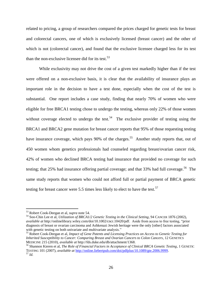related to pricing, a group of researchers compared the prices charged for genetic tests for breast and colorectal cancers, one of which is exclusively licensed (breast cancer) and the other of which is not (colorectal cancer), and found that the exclusive licensee charged less for its test than the non-exclusive licensee did for its test.<sup>53</sup>

While exclusivity may not drive the cost of a given test markedly higher than if the test were offered on a non-exclusive basis, it is clear that the availability of insurance plays an important role in the decision to have a test done, especially when the cost of the test is substantial. One report includes a case study, finding that nearly 70% of women who were eligible for free BRCA1 testing chose to undergo the testing, whereas only 22% of those women without coverage elected to undergo the test.<sup>54</sup> The exclusive provider of testing using the BRCA1 and BRCA2 gene mutation for breast cancer reports that 95% of those requesting testing have insurance coverage, which pays  $90\%$  of the charges.<sup>55</sup> Another study reports that, out of 450 women whom genetics professionals had counseled regarding breast/ovarian cancer risk, 42% of women who declined BRCA testing had insurance that provided no coverage for such testing; that 25% had insurance offering partial coverage; and that 33% had full coverage.<sup>56</sup> The same study reports that women who could not afford full or partial payment of BRCA genetic testing for breast cancer were 5.5 times less likely to elect to have the test.<sup>57</sup>

<sup>53</sup> Robert Cook-Deegan et al, *supra* note 54.

<sup>54</sup> Soo-Chin Lee et al, *Utilization of BRCA1/2 Genetic Testing in the Clinical Setting*, 94 CANCER 1876 (2002), *available at* http://onlinelibrary.wiley.com/doi/10.1002/cncr.10420/pdf. Aside from access to free testing, "prior diagnosis of breast or ovarian carcinoma and Ashkenazi Jewish heritage were the only [other] factors associated with genetic testing on both univariate and multivariate analysis."

<sup>55</sup> Robert Cook-Deegan et al, *Impact of Gene Patents and Licensing Practices on Access to Genetic Testing for Inherited Susceptibility to Cancer: Comparing Breast and Ovarian Cancers to Colon Cancers*, 12 GENETICS MEDICINE 215 (2010), *available at* http://fds.duke.edu/db/attachment/1368.

<sup>56</sup> Shannon Kieren et al, *The Role of Financial Factors in Acceptance of Clinical BRCA Genetic Testing*, 1 GENETIC TESTING 101 (2007), *available at* [http://online.liebertpub.com/doi/pdfplus/10.1089/gte.2006.9999.](http://online.liebertpub.com/doi/pdfplus/10.1089/gte.2006.9999) <sup>57</sup> *Id.*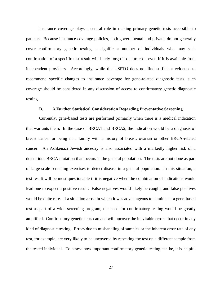Insurance coverage plays a central role in making primary genetic tests accessible to patients. Because insurance coverage policies, both governmental and private, do not generally cover confirmatory genetic testing, a significant number of individuals who may seek confirmation of a specific test result will likely forgo it due to cost, even if it is available from independent providers. Accordingly, while the USPTO does not find sufficient evidence to recommend specific changes to insurance coverage for gene-related diagnostic tests, such coverage should be considered in any discussion of access to confirmatory genetic diagnostic testing.

## **B. A Further Statistical Consideration Regarding Preventative Screening**

<span id="page-27-0"></span>Currently, gene-based tests are performed primarily when there is a medical indication that warrants them. In the case of BRCA1 and BRCA2, the indication would be a diagnosis of breast cancer or being in a family with a history of breast, ovarian or other BRCA-related cancer. An Ashkenazi Jewish ancestry is also associated with a markedly higher risk of a deleterious BRCA mutation than occurs in the general population. The tests are not done as part of large-scale screening exercises to detect disease in a general population. In this situation, a test result will be most questionable if it is negative when the combination of indications would lead one to expect a positive result. False negatives would likely be caught, and false positives would be quite rare. If a situation arose in which it was advantageous to administer a gene-based test as part of a wide screening program, the need for confirmatory testing would be greatly amplified. Confirmatory genetic tests can and will uncover the inevitable errors that occur in any kind of diagnostic testing. Errors due to mishandling of samples or the inherent error rate of any test, for example, are very likely to be uncovered by repeating the test on a different sample from the tested individual. To assess how important confirmatory genetic testing can be, it is helpful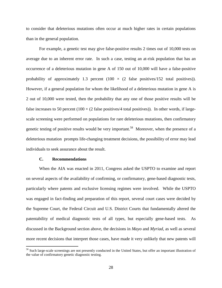to consider that deleterious mutations often occur at much higher rates in certain populations than in the general population.

For example, a genetic test may give false-positive results 2 times out of 10,000 tests on average due to an inherent error rate. In such a case, testing an at-risk population that has an occurrence of a deleterious mutation in gene A of 150 out of 10,000 will have a false-positive probability of approximately 1.3 percent (100  $\times$  (2 false positives/152 total positives)). However, if a general population for whom the likelihood of a deleterious mutation in gene A is 2 out of 10,000 were tested, then the probability that any one of those positive results will be false increases to 50 percent ( $100 \times (2 \text{ false positives}/4 \text{ total positives})$ ). In other words, if largescale screening were performed on populations for rare deleterious mutations, then confirmatory genetic testing of positive results would be very important.<sup>58</sup> Moreover, when the presence of a deleterious mutation prompts life-changing treatment decisions, the possibility of error may lead individuals to seek assurance about the result.

### **C. Recommendations**

 $\overline{a}$ 

<span id="page-28-0"></span>When the AIA was enacted in 2011, Congress asked the USPTO to examine and report on several aspects of the availability of confirming, or confirmatory, gene-based diagnostic tests, particularly where patents and exclusive licensing regimes were involved. While the USPTO was engaged in fact-finding and preparation of this report, several court cases were decided by the Supreme Court, the Federal Circuit and U.S. District Courts that fundamentally altered the patentability of medical diagnostic tests of all types, but especially gene-based tests. As discussed in the Background section above, the decisions in *Mayo* and *Myriad*, as well as several more recent decisions that interpret those cases, have made it very unlikely that new patents will

<sup>&</sup>lt;sup>58</sup> Such large-scale screenings are not presently conducted in the United States, but offer an important illustration of the value of confirmatory genetic diagnostic testing.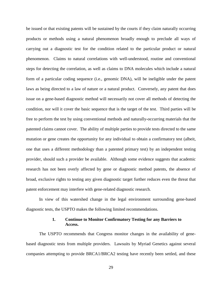be issued or that existing patents will be sustained by the courts if they claim naturally occurring products or methods using a natural phenomenon broadly enough to preclude all ways of carrying out a diagnostic test for the condition related to the particular product or natural phenomenon. Claims to natural correlations with well-understood, routine and conventional steps for detecting the correlation, as well as claims to DNA molecules which include a natural form of a particular coding sequence (i.e., genomic DNA), will be ineligible under the patent laws as being directed to a law of nature or a natural product. Conversely, any patent that does issue on a gene-based diagnostic method will necessarily not cover all methods of detecting the condition, nor will it cover the basic sequence that is the target of the test. Third parties will be free to perform the test by using conventional methods and naturally-occurring materials that the patented claims cannot cover. The ability of multiple parties to provide tests directed to the same mutation or gene creates the opportunity for any individual to obtain a confirmatory test (albeit, one that uses a different methodology than a patented primary test) by an independent testing provider, should such a provider be available. Although some evidence suggests that academic research has not been overly affected by gene or diagnostic method patents, the absence of broad, exclusive rights to testing any given diagnostic target further reduces even the threat that patent enforcement may interfere with gene-related diagnostic research.

In view of this watershed change in the legal environment surrounding gene-based diagnostic tests, the USPTO makes the following limited recommendations.

## **1. Continue to Monitor Confirmatory Testing for any Barriers to Access.**

<span id="page-29-0"></span>The USPTO recommends that Congress monitor changes in the availability of genebased diagnostic tests from multiple providers. Lawsuits by Myriad Genetics against several companies attempting to provide BRCA1/BRCA2 testing have recently been settled, and these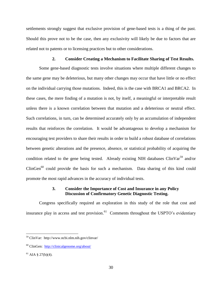settlements strongly suggest that exclusive provision of gene-based tests is a thing of the past. Should this prove not to be the case, then any exclusivity will likely be due to factors that are related not to patents or to licensing practices but to other considerations.

## **2. Consider Creating a Mechanism to Facilitate Sharing of Test Results.**

<span id="page-30-0"></span>Some gene-based diagnostic tests involve situations where multiple different changes to the same gene may be deleterious, but many other changes may occur that have little or no effect on the individual carrying those mutations. Indeed, this is the case with BRCA1 and BRCA2. In these cases, the mere finding of a mutation is not, by itself, a meaningful or interpretable result unless there is a known correlation between that mutation and a deleterious or neutral effect. Such correlations, in turn, can be determined accurately only by an accumulation of independent results that reinforces the correlation. It would be advantageous to develop a mechanism for encouraging test providers to share their results in order to build a robust database of correlations between genetic alterations and the presence, absence, or statistical probability of acquiring the condition related to the gene being tested. Already existing NIH databases ClinVar<sup>59</sup> and/or  $ClinGen<sup>60</sup>$  could provide the basis for such a mechanism. Data sharing of this kind could promote the most rapid advances in the accuracy of individual tests.

# **3. Consider the Importance of Cost and Insurance in any Policy Discussion of Confirmatory Genetic Diagnostic Testing.**

<span id="page-30-1"></span>Congress specifically required an exploration in this study of the role that cost and insurance play in access and test provision.<sup>61</sup> Comments throughout the USPTO's evidentiary

<sup>59</sup> ClinVar: http://www.ncbi.nlm.nih.gov/clinvar/

<sup>60</sup> ClinGen: <http://clinicalgenome.org/about/>

 $61$  AIA  $$27(b)(4)$ .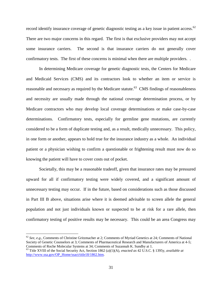record identify insurance coverage of genetic diagnostic testing as a key issue in patient access.<sup>62</sup> There are two major concerns in this regard. The first is that exclusive providers may not accept some insurance carriers. The second is that insurance carriers do not generally cover confirmatory tests. The first of these concerns is minimal when there are multiple providers. .

In determining Medicare coverage for genetic diagnostic tests, the Centers for Medicare and Medicaid Services (CMS) and its contractors look to whether an item or service is reasonable and necessary as required by the Medicare statute.<sup>63</sup> CMS findings of reasonableness and necessity are usually made through the national coverage determination process, or by Medicare contractors who may develop local coverage determinations or make case-by-case determinations. Confirmatory tests, especially for germline gene mutations, are currently considered to be a form of duplicate testing and, as a result, medically unnecessary. This policy, in one form or another, appears to hold true for the insurance industry as a whole. An individual patient or a physician wishing to confirm a questionable or frightening result must now do so knowing the patient will have to cover costs out of pocket.

Societally, this may be a reasonable tradeoff, given that insurance rates may be pressured upward for all if confirmatory testing were widely covered, and a significant amount of unnecessary testing may occur. If in the future, based on considerations such as those discussed in Part III B above, situations arise where it is deemed advisable to screen allele the general population and not just individuals known or suspected to be at risk for a rare allele, then confirmatory testing of positive results may be necessary. This could be an area Congress may

<sup>62</sup> *See, e.g.*, Comments of Christine Gritzmacher at 2; Comments of Myriad Genetics at 24; Comments of National Society of Genetic Counselors at 3; Comments of Pharmaceutical Research and Manufacturers of America at 4-5; Comments of Roche Molecular Systems at 34; Comments of Suzannah K. Sundby at 1.

<sup>63</sup> Title XVIII of the Social Security Act, Section 1862 (a)(1)(A), *enacted as* 42 U.S.C. § 1395y, *available at* [http://www.ssa.gov/OP\\_Home/ssact/title18/1862.htm.](http://www.ssa.gov/OP_Home/ssact/title18/1862.htm)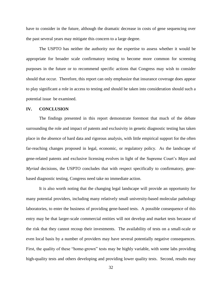have to consider in the future, although the dramatic decrease in costs of gene sequencing over the past several years may mitigate this concern to a large degree.

The USPTO has neither the authority nor the expertise to assess whether it would be appropriate for broader scale confirmatory testing to become more common for screening purposes in the future or to recommend specific actions that Congress may wish to consider should that occur. Therefore, this report can only emphasize that insurance coverage does appear to play significant a role in access to testing and should be taken into consideration should such a potential issue be examined.

#### <span id="page-32-0"></span>**IV. CONCLUSION**

The findings presented in this report demonstrate foremost that much of the debate surrounding the role and impact of patents and exclusivity in genetic diagnostic testing has taken place in the absence of hard data and rigorous analysis, with little empirical support for the often far-reaching changes proposed in legal, economic, or regulatory policy. As the landscape of gene-related patents and exclusive licensing evolves in light of the Supreme Court's *Mayo* and *Myriad* decisions, the USPTO concludes that with respect specifically to confirmatory, genebased diagnostic testing, Congress need take no immediate action.

It is also worth noting that the changing legal landscape will provide an opportunity for many potential providers, including many relatively small university-based molecular pathology laboratories, to enter the business of providing gene-based tests. A possible consequence of this entry may be that larger-scale commercial entities will not develop and market tests because of the risk that they cannot recoup their investments. The availability of tests on a small-scale or even local basis by a number of providers may have several potentially negative consequences. First, the quality of these "home-grown" tests may be highly variable, with some labs providing high-quality tests and others developing and providing lower quality tests. Second, results may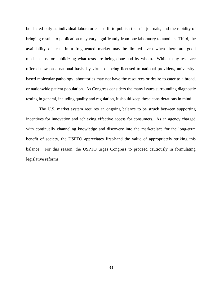be shared only as individual laboratories see fit to publish them in journals, and the rapidity of bringing results to publication may vary significantly from one laboratory to another. Third, the availability of tests in a fragmented market may be limited even when there are good mechanisms for publicizing what tests are being done and by whom. While many tests are offered now on a national basis, by virtue of being licensed to national providers, universitybased molecular pathology laboratories may not have the resources or desire to cater to a broad, or nationwide patient population. As Congress considers the many issues surrounding diagnostic testing in general, including quality and regulation, it should keep these considerations in mind.

The U.S. market system requires an ongoing balance to be struck between supporting incentives for innovation and achieving effective access for consumers. As an agency charged with continually channeling knowledge and discovery into the marketplace for the long-term benefit of society, the USPTO appreciates first-hand the value of appropriately striking this balance. For this reason, the USPTO urges Congress to proceed cautiously in formulating legislative reforms.